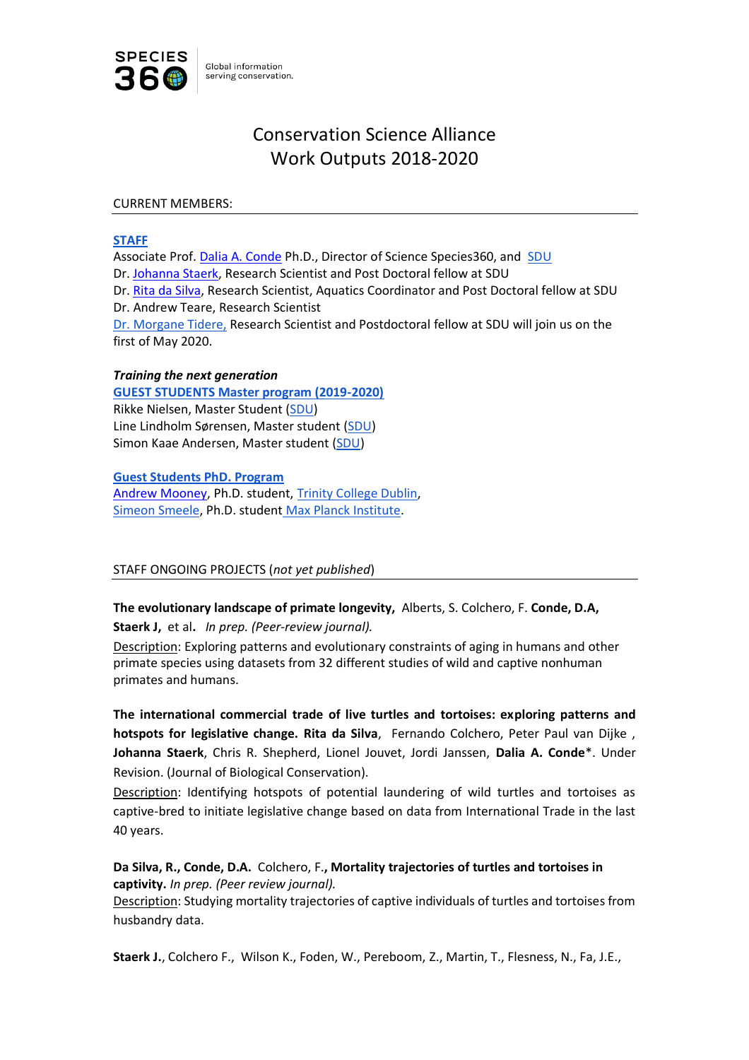

# Conservation Science Alliance Work Outputs 2018-2020

#### CURRENT MEMBERS:

### **[STAFF](https://conservation.species360.org/meet-the-team/)**

Associate Prof. [Dalia A. Conde](https://www.researchgate.net/profile/Dalia_Conde/publications) Ph.D., Director of Science Species360, and [SDU](https://portal.findresearcher.sdu.dk/da/persons/dalia)  Dr. [Johanna Staerk,](https://portal.findresearcher.sdu.dk/da/persons/johannas) Research Scientist and Post Doctoral fellow at SDU Dr. [Rita da Silva,](https://portal.findresearcher.sdu.dk/da/persons/rita-silva) Research Scientist, Aquatics Coordinator and Post Doctoral fellow at SDU Dr. Andrew Teare, Research Scientist [Dr. Morgane Tidere,](https://www.researchgate.net/profile/Morgane_Tidiere) Research Scientist and Postdoctoral fellow at SDU will join us on the first of May 2020.

#### *Training the next generation*

**[GUEST STUDENTS Master program \(2019-2020\)](https://conservation.species360.org/programs/education/)** Rikke Nielsen, Master Student [\(SDU\)](https://www.sdu.dk/en/om_sdu/institutter_centre/i_biologi) Line Lindholm Sørensen, Master student [\(SDU\)](https://www.sdu.dk/en/om_sdu/institutter_centre/i_biologi) Simon Kaae Andersen, Master student [\(SDU\)](https://www.sdu.dk/en/om_sdu/institutter_centre/i_biologi)

**[Guest Students PhD. Program](https://conservation.species360.org/programs/education/)**

[Andrew Mooney,](https://www.linkedin.com/in/andrew-mooney-1ba26411a/?originalSubdomain=ie) Ph.D. student, [Trinity College Dublin,](https://www.tcd.ie/Zoology/) [Simeon Smeele,](https://www.linkedin.com/in/simeonqs/?originalSubdomain=de) Ph.D. student [Max Planck Institute.](https://www.ab.mpg.de/people/103471)

# STAFF ONGOING PROJECTS (*not yet published*)

**The evolutionary landscape of primate longevity,** Alberts, S. Colchero, F. **Conde, D.A,** 

**Staerk J,** et al**.** *In prep. (Peer-review journal).*

Description: Exploring patterns and evolutionary constraints of aging in humans and other primate species using datasets from 32 different studies of wild and captive nonhuman primates and humans.

**The international commercial trade of live turtles and tortoises: exploring patterns and hotspots for legislative change. Rita da Silva**, Fernando Colchero, Peter Paul van Dijke , **Johanna Staerk**, Chris R. Shepherd, Lionel Jouvet, Jordi Janssen, **Dalia A. Conde**\*. Under Revision. (Journal of Biological Conservation).

Description: Identifying hotspots of potential laundering of wild turtles and tortoises as captive-bred to initiate legislative change based on data from International Trade in the last 40 years.

**Da Silva, R., Conde, D.A.** Colchero, F.**, Mortality trajectories of turtles and tortoises in captivity.** *In prep. (Peer review journal).*

Description: Studying mortality trajectories of captive individuals of turtles and tortoises from husbandry data.

**Staerk J.**, Colchero F., Wilson K., Foden, W., Pereboom, Z., Martin, T., Flesness, N., Fa, J.E.,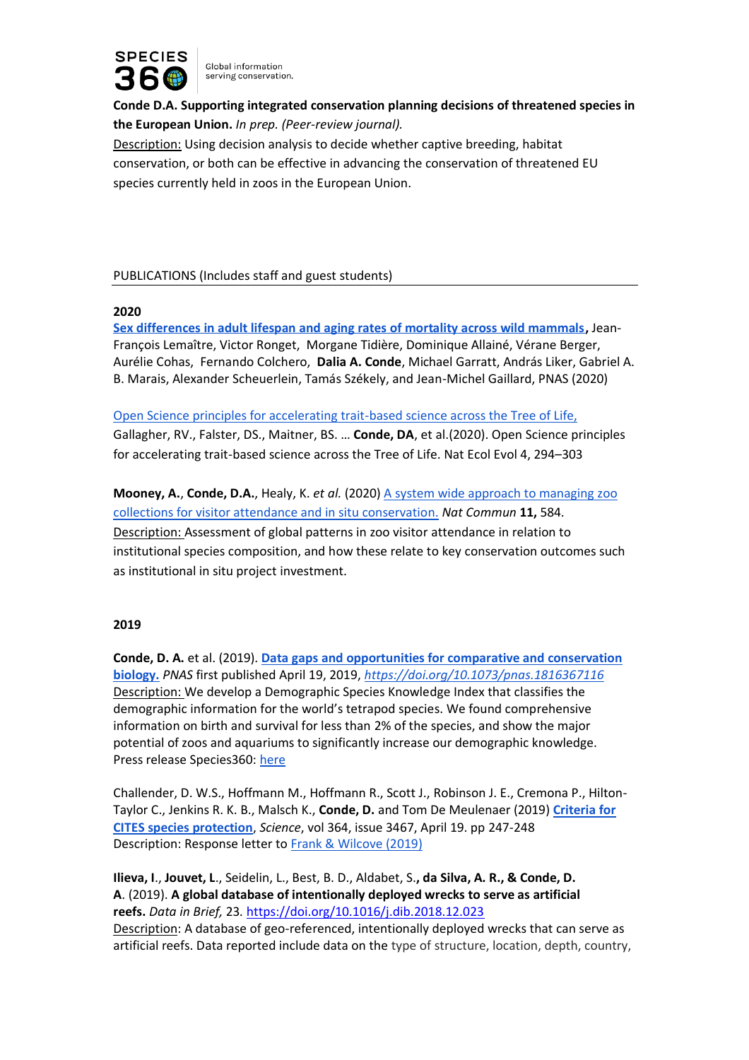

**Conde D.A. Supporting integrated conservation planning decisions of threatened species in the European Union.** *In prep. (Peer-review journal).* Description: Using decision analysis to decide whether captive breeding, habitat conservation, or both can be effective in advancing the conservation of threatened EU species currently held in zoos in the European Union.

# PUBLICATIONS (Includes staff and guest students)

#### **2020**

**[Sex differences in adult lifespan and aging rates of mortality across wild mammals,](https://www.pnas.org/content/early/2020/03/17/1911999117)** Jean-François Lemaître, Victor Ronget, Morgane Tidière, Dominique Allainé, Vérane Berger, Aurélie Cohas, Fernando Colchero, **Dalia A. Conde**, Michael Garratt, András Liker, Gabriel A. B. Marais, Alexander Scheuerlein, Tamás Székely, and Jean-Michel Gaillard, PNAS (2020)

[Open Science principles for accelerating trait-based science across the Tree of Life,](https://conservation.species360.org/nature-ecology-evolution-open-science-principles-for-accelerating-trait-based-science-across-the-tree-of-life/)

Gallagher, RV., Falster, DS., Maitner, BS. … **Conde, DA**, et al.(2020). Open Science principles for accelerating trait-based science across the Tree of Life. Nat Ecol Evol 4, 294–303

**Mooney, A.**, **Conde, D.A.**, Healy, K. *et al.* (2020) [A system wide approach to managing zoo](https://conservation.species360.org/visiting-a-zoo-this-week-research-sheds-light-on-why-you-go-and-the-impact-on-conservation-in-the-wild/)  [collections for visitor attendance and in situ conservation.](https://conservation.species360.org/visiting-a-zoo-this-week-research-sheds-light-on-why-you-go-and-the-impact-on-conservation-in-the-wild/) *Nat Commun* **11,** 584. Description: Assessment of global patterns in zoo visitor attendance in relation to institutional species composition, and how these relate to key conservation outcomes such as institutional in situ project investment.

#### **2019**

**Conde, D. A.** et al. (2019). **[Data gaps and opportunities for comparative and conservation](https://www.pnas.org/content/early/2019/04/18/1816367116)  [biology.](https://www.pnas.org/content/early/2019/04/18/1816367116)** *PNAS* first published April 19, 2019, *<https://doi.org/10.1073/pnas.1816367116>* Description: We develop a Demographic Species Knowledge Index that classifies the demographic information for the world's tetrapod species. We found comprehensive information on birth and survival for less than 2% of the species, and show the major potential of zoos and aquariums to significantly increase our demographic knowledge. Press release Species360: [here](https://www.species360.org/serving-conservation/species-knowledge-index-pnas/)

Challender, D. W.S., Hoffmann M., Hoffmann R., Scott J., Robinson J. E., Cremona P., Hilton-Taylor C., Jenkins R. K. B., Malsch K., **Conde, D.** and Tom De Meulenaer (2019) **[Criteria for](https://science.sciencemag.org/content/364/6437/247.2)  [CITES species protection](https://science.sciencemag.org/content/364/6437/247.2)**, *Science*, vol 364, issue 3467, April 19. pp 247-248 Description: Response letter to [Frank & Wilcove \(2019\)](https://science.sciencemag.org/content/363/6428/686)

**Ilieva, I**., **Jouvet, L**., Seidelin, L., Best, B. D., Aldabet, S.**, da Silva, A. R., & Conde, D. A**. (2019). **A global database of intentionally deployed wrecks to serve as artificial reefs.** *Data in Brief,* 23*.* <https://doi.org/10.1016/j.dib.2018.12.023> Description: A database of geo-referenced, intentionally deployed wrecks that can serve as artificial reefs. Data reported include data on the type of structure, location, depth, country,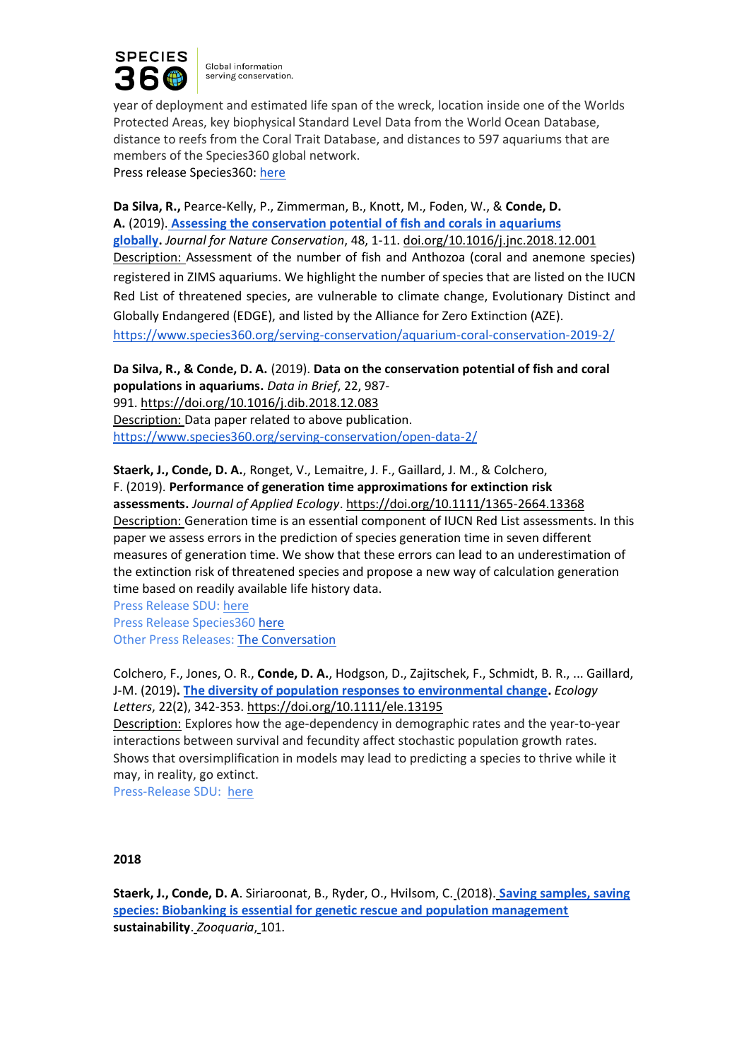

year of deployment and estimated life span of the wreck, location inside one of the Worlds Protected Areas, key biophysical Standard Level Data from the World Ocean Database, distance to reefs from the Coral Trait Database, and distances to 597 aquariums that are members of the Species360 global network.

Press release Species360: [here](https://www.species360.org/serving-conservation/aquarium-coral-conservation-2019-2/)

**Da Silva, R.,** Pearce-Kelly, P., Zimmerman, B., Knott, M., Foden, W., & **Conde, D. A.** (2019). **[Assessing the conservation potential of fish and corals in aquariums](https://www.sciencedirect.com/science/article/pii/S1617138118302723?via%3Dihub)  [globally.](https://www.sciencedirect.com/science/article/pii/S1617138118302723?via%3Dihub)** *Journal for Nature Conservation*, 48, 1-11. [doi.org/10.1016/j.jnc.2018.12.001](https://doi.org/10.1016/j.jnc.2018.12.001) Description: Assessment of the number of fish and Anthozoa (coral and anemone species) registered in ZIMS aquariums. We highlight the number of species that are listed on the IUCN Red List of threatened species, are vulnerable to climate change, Evolutionary Distinct and Globally Endangered (EDGE), and listed by the Alliance for Zero Extinction (AZE). <https://www.species360.org/serving-conservation/aquarium-coral-conservation-2019-2/>

**Da Silva, R., & Conde, D. A.** (2019). **Data on the conservation potential of fish and coral populations in aquariums.** *Data in Brief*, 22, 987- 991. <https://doi.org/10.1016/j.dib.2018.12.083> Description: Data paper related to above publication. <https://www.species360.org/serving-conservation/open-data-2/>

**Staerk, J., Conde, D. A.**, Ronget, V., Lemaitre, J. F., Gaillard, J. M., & Colchero, F. (2019). **Performance of generation time approximations for extinction risk assessments.** *Journal of Applied Ecology*. <https://doi.org/10.1111/1365-2664.13368> Description: Generation time is an essential component of IUCN Red List assessments. In this paper we assess errors in the prediction of species generation time in seven different measures of generation time. We show that these errors can lead to an underestimation of the extinction risk of threatened species and propose a new way of calculation generation time based on readily available life history data.

Press Release SDU: [here](https://www.sdu.dk/en/om_sdu/fakulteterne/naturvidenskab/nyheder2019/2019_04_23_errorbarspopmodels) Press Release Species360 [here](https://www.species360.org/serving-conservation/generations-time-jrnl-applied-ecology/) Other Press Releases: [The Conversation](https://theconversation.com/biodiversity-many-species-could-be-even-more-likely-to-go-extinct-than-we-realise-116765)

Colchero, F., Jones, O. R., **Conde, D. A.**, Hodgson, D., Zajitschek, F., Schmidt, B. R., ... Gaillard, J-M. (2019)**. [The diversity of population responses to environmental change.](https://onlinelibrary.wiley.com/doi/full/10.1111/ele.13195)** *Ecology Letters*, 22(2), 342-353. <https://doi.org/10.1111/ele.13195>

Description: Explores how the age-dependency in demographic rates and the year-to-year interactions between survival and fecundity affect stochastic population growth rates. Shows that oversimplification in models may lead to predicting a species to thrive while it may, in reality, go extinct.

Press-Release SDU: [here](https://www.sciencedaily.com/releases/2019/01/190111112844.htm)

# **2018**

**Staerk, J., Conde, D. A**. Siriaroonat, B., Ryder, O., Hvilsom, C. (2018). **[Saving samples, saving](https://www.eaza.net/assets/Uploads/Zooquaria/ZQIssues/ZQ101v4-web.pdf)  [species: Biobanking is essential for genetic rescue and population management](https://www.eaza.net/assets/Uploads/Zooquaria/ZQIssues/ZQ101v4-web.pdf)  sustainability**. *Zooquaria*, 101.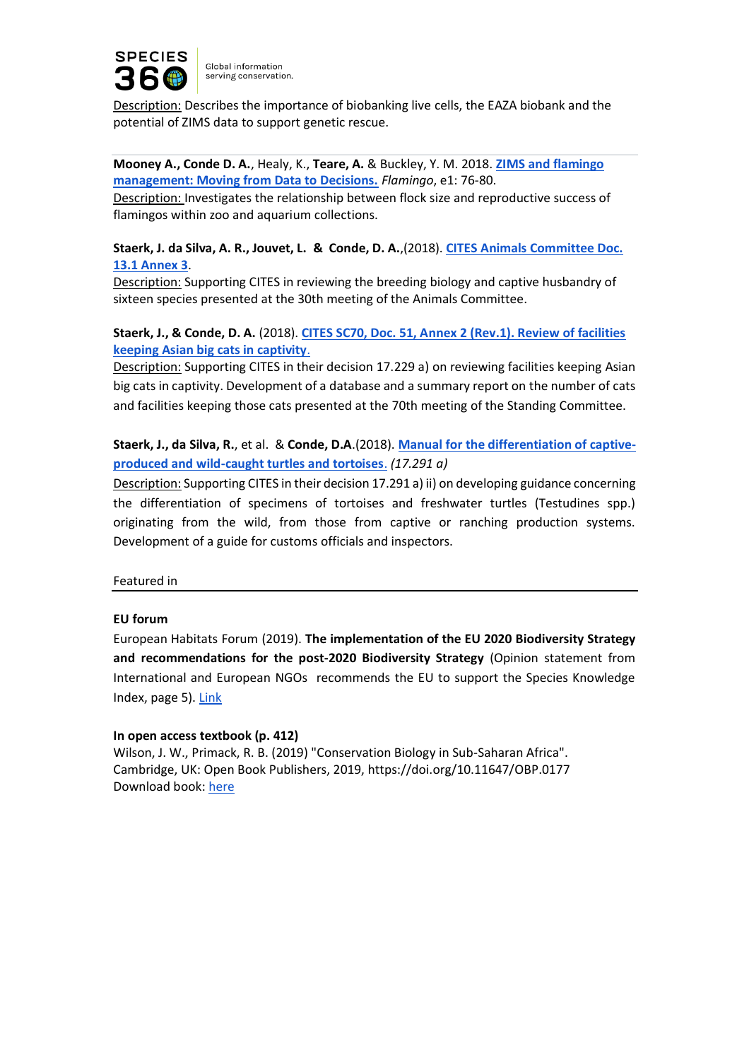

Description: Describes the importance of biobanking live cells, the EAZA biobank and the potential of ZIMS data to support genetic rescue.

**Mooney A., Conde D. A.**, Healy, K., **Teare, A.** & Buckley, Y. M. 2018. **[ZIMS and flamingo](http://www.flamingo-sg.org/journal/flamingo-2018/paper-13-a-mooney-et-al-short-report/)  [management: Moving from Data to Decisions.](http://www.flamingo-sg.org/journal/flamingo-2018/paper-13-a-mooney-et-al-short-report/)** *Flamingo*, e1: 76-80.

Description: Investigates the relationship between flock size and reproductive success of flamingos within zoo and aquarium collections.

# **Staerk, J. da Silva, A. R., Jouvet, L. & Conde, D. A.**,(2018). **[CITES Animals Committee Doc.](https://cites.org/sites/default/files/eng/com/ac/30/E-AC30-13-01-A3.pdf)  [13.1 Annex 3](https://cites.org/sites/default/files/eng/com/ac/30/E-AC30-13-01-A3.pdf)**.

Description: Supporting CITES in reviewing the breeding biology and captive husbandry of sixteen species presented at the 30th meeting of the Animals Committee.

# **Staerk, J., & Conde, D. A.** (2018). **[CITES SC70, Doc. 51, Annex 2 \(Rev.1\). Review of facilities](https://cites.org/sites/default/files/eng/com/sc/70/E-SC70-51-A2-R1.pdf)  [keeping Asian big cats in captivity](https://cites.org/sites/default/files/eng/com/sc/70/E-SC70-51-A2-R1.pdf)**[.](https://cites.org/sites/default/files/eng/com/sc/70/E-SC70-51-A2-R1.pdf)

Description: Supporting CITES in their decision 17.229 a) on reviewing facilities keeping Asian big cats in captivity. Development of a database and a summary report on the number of cats and facilities keeping those cats presented at the 70th meeting of the Standing Committee.

# **Staerk, J., da Silva, R.**, et al. & **Conde, D.A**.(2018). **[Manual for the differentiation of captive](https://cites.org/sites/default/files/eng/prog/captive_breeding/SSFA_Species360_Insp_Manual_Final_red.pdf)[produced and wild-caught turtles and tortoises](https://cites.org/sites/default/files/eng/prog/captive_breeding/SSFA_Species360_Insp_Manual_Final_red.pdf)**. *(17.291 a)*

Description: Supporting CITES in their decision 17.291 a) ii) on developing guidance concerning the differentiation of specimens of tortoises and freshwater turtles (Testudines spp.) originating from the wild, from those from captive or ranching production systems. Development of a guide for customs officials and inspectors.

Featured in

# **EU forum**

European Habitats Forum (2019). **The implementation of the EU 2020 Biodiversity Strategy and recommendations for the post-2020 Biodiversity Strategy** (Opinion statement from International and European NGOs recommends the EU to support the Species Knowledge Index, page 5). [Link](https://www.iucn.org/regions/europe/our-work/eu-biodiversity-policy/european-habitats-forum)

#### **In open access textbook (p. 412)**

Wilson, J. W., Primack, R. B. (2019) "Conservation Biology in Sub-Saharan Africa". Cambridge, UK: Open Book Publishers, 2019, https://doi.org/10.11647/OBP.0177 Download book: [here](http://consbio.africa/)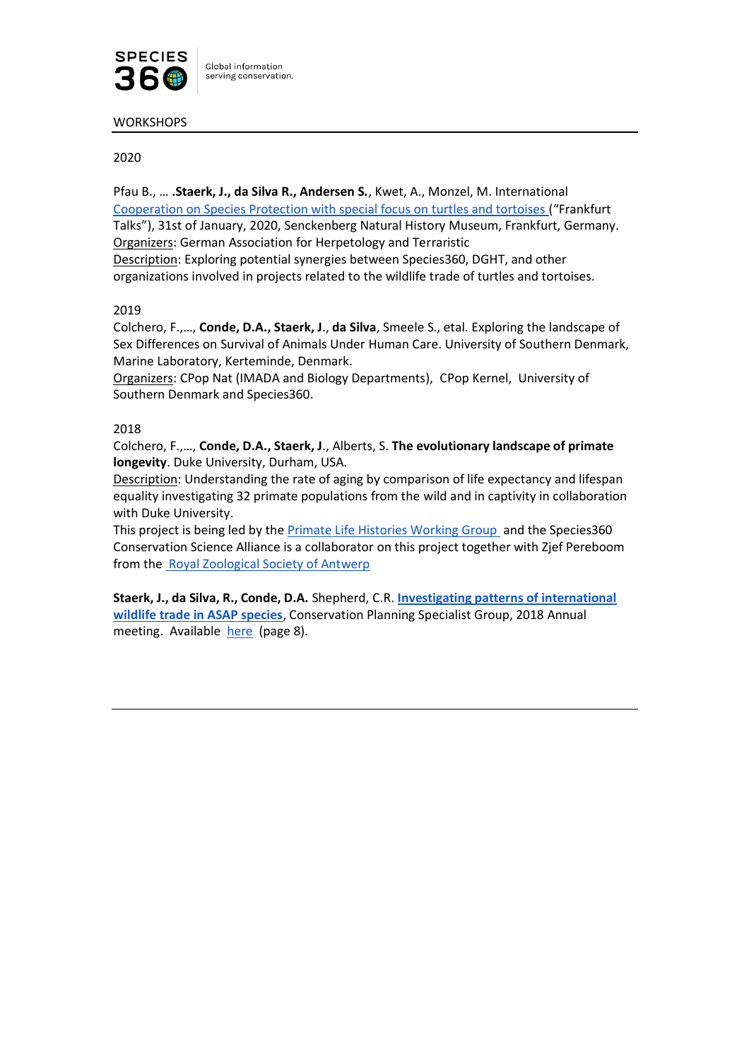

**WORKSHOPS** 

# 2020

Pfau B., … **.Staerk, J., da Silva R., Andersen S.**, Kwet, A., Monzel, M. International [Cooperation on Species Protection with special focus on turtles and tortoises](https://conservation.species360.org/international-collaboration-on-species-conservation-of-turtles-and-tortoises-frankfurt-talks/) ("Frankfurt Talks"), 31st of January, 2020, Senckenberg Natural History Museum, Frankfurt, Germany. Organizers: German Association for Herpetology and Terraristic

Description: Exploring potential synergies between Species360, DGHT, and other organizations involved in projects related to the wildlife trade of turtles and tortoises.

# 2019

Colchero, F.,…, **Conde, D.A., Staerk, J**., **da Silva**, Smeele S., etal. Exploring the landscape of Sex Differences on Survival of Animals Under Human Care. University of Southern Denmark, Marine Laboratory, Kerteminde, Denmark.

Organizers: CPop Nat (IMADA and Biology Departments), CPop Kernel, University of Southern Denmark and Species360.

# 2018

Colchero, F.,…, **Conde, D.A., Staerk, J**., Alberts, S. **The evolutionary landscape of primate longevity**. Duke University, Durham, USA.

Description: Understanding the rate of aging by comparison of life expectancy and lifespan equality investigating 32 primate populations from the wild and in captivity in collaboration with Duke University.

This project is being led by the **Primate Life Histories Working Group** and the Species360 Conservation Science Alliance is a collaborator on this project together with Zjef Pereboom from th[e Royal Zoological Society of Antwerp](https://www.zooscience.be/en/)

**Staerk, J., da Silva, R., Conde, D.A.** Shepherd, C.R. **[Investigating patterns of international](https://conservation.species360.org/cpsg-2018-working-group-investigating-patterns-of-international-wildlife-trade-in-asap-species/)  [wildlife trade in ASAP species](https://conservation.species360.org/cpsg-2018-working-group-investigating-patterns-of-international-wildlife-trade-in-asap-species/)**, Conservation Planning Specialist Group, 2018 Annual meeting. Available [here](http://www.cpsg.org/sites/cbsg.org/files/documents/2018%20CPSG%20Annual%20Meeting%20Proceedings_0.pdf) (page 8).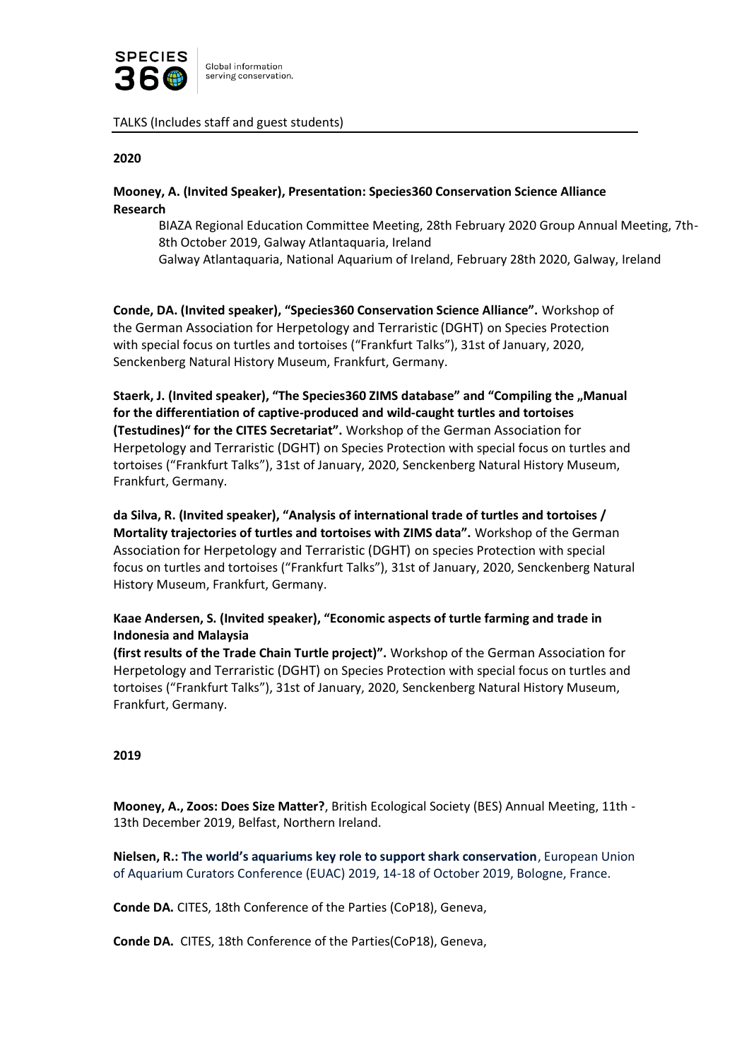

#### TALKS (Includes staff and guest students)

#### **2020**

# **Mooney, A. (Invited Speaker), Presentation: Species360 Conservation Science Alliance Research**

BIAZA Regional Education Committee Meeting, 28th February 2020 Group Annual Meeting, 7th-8th October 2019, Galway Atlantaquaria, Ireland

Galway Atlantaquaria, National Aquarium of Ireland, February 28th 2020, Galway, Ireland

**Conde, DA. (Invited speaker), "Species360 Conservation Science Alliance".** Workshop of the German Association for Herpetology and Terraristic (DGHT) on Species Protection with special focus on turtles and tortoises ("Frankfurt Talks"), 31st of January, 2020, Senckenberg Natural History Museum, Frankfurt, Germany.

Staerk, J. (Invited speaker), "The Species360 ZIMS database" and "Compiling the "Manual **for the differentiation of captive-produced and wild-caught turtles and tortoises (Testudines)" for the CITES Secretariat".** Workshop of the German Association for Herpetology and Terraristic (DGHT) on Species Protection with special focus on turtles and tortoises ("Frankfurt Talks"), 31st of January, 2020, Senckenberg Natural History Museum, Frankfurt, Germany.

**da Silva, R. (Invited speaker), "Analysis of international trade of turtles and tortoises / Mortality trajectories of turtles and tortoises with ZIMS data".** Workshop of the German Association for Herpetology and Terraristic (DGHT) on species Protection with special focus on turtles and tortoises ("Frankfurt Talks"), 31st of January, 2020, Senckenberg Natural History Museum, Frankfurt, Germany.

**Kaae Andersen, S. (Invited speaker), "Economic aspects of turtle farming and trade in Indonesia and Malaysia** 

**(first results of the Trade Chain Turtle project)".** Workshop of the German Association for Herpetology and Terraristic (DGHT) on Species Protection with special focus on turtles and tortoises ("Frankfurt Talks"), 31st of January, 2020, Senckenberg Natural History Museum, Frankfurt, Germany.

#### **2019**

**Mooney, A., Zoos: Does Size Matter?**, British Ecological Society (BES) Annual Meeting, 11th - 13th December 2019, Belfast, Northern Ireland.

**Nielsen, R.: The world's aquariums key role to support shark conservation**, European Union of Aquarium Curators Conference (EUAC) 2019, 14-18 of October 2019, Bologne, France.

**Conde DA.** CITES, 18th Conference of the Parties (CoP18), Geneva,

**Conde DA.** CITES, 18th Conference of the Parties(CoP18), Geneva,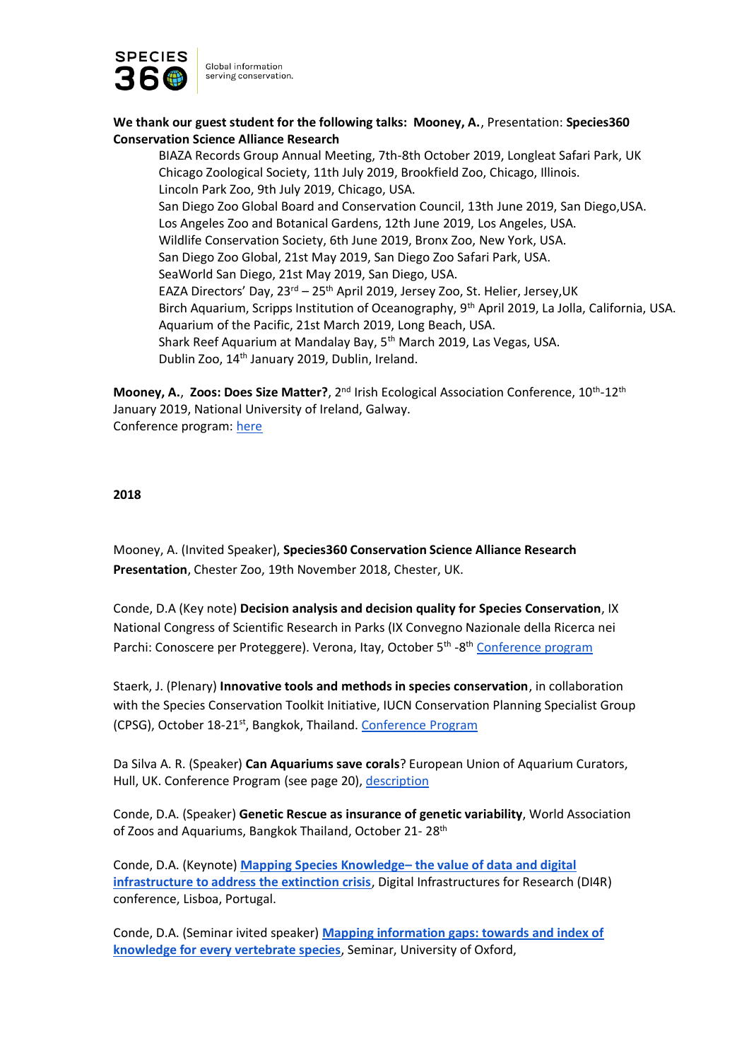

**We thank our guest student for the following talks: Mooney, A.**, Presentation: **Species360 Conservation Science Alliance Research** 

BIAZA Records Group Annual Meeting, 7th-8th October 2019, Longleat Safari Park, UK Chicago Zoological Society, 11th July 2019, Brookfield Zoo, Chicago, Illinois. Lincoln Park Zoo, 9th July 2019, Chicago, USA. San Diego Zoo Global Board and Conservation Council, 13th June 2019, San Diego,USA. Los Angeles Zoo and Botanical Gardens, 12th June 2019, Los Angeles, USA. Wildlife Conservation Society, 6th June 2019, Bronx Zoo, New York, USA. San Diego Zoo Global, 21st May 2019, San Diego Zoo Safari Park, USA. SeaWorld San Diego, 21st May 2019, San Diego, USA. EAZA Directors' Day, 23rd - 25<sup>th</sup> April 2019, Jersey Zoo, St. Helier, Jersey, UK Birch Aquarium, Scripps Institution of Oceanography, 9th April 2019, La Jolla, California, USA. Aquarium of the Pacific, 21st March 2019, Long Beach, USA. Shark Reef Aquarium at Mandalay Bay, 5<sup>th</sup> March 2019, Las Vegas, USA. Dublin Zoo, 14th January 2019, Dublin, Ireland.

Mooney, A., Zoos: Does Size Matter?, 2<sup>nd</sup> Irish Ecological Association Conference, 10<sup>th</sup>-12<sup>th</sup> January 2019, National University of Ireland, Galway. Conference program: [here](https://www.marine.ie/Home/sites/default/files/MIFiles/Docs_Comms/2nd%20Ecology%20%26%20Evolution%20Conference%20Programme%202019%20Galway.pdf)

#### **2018**

Mooney, A. (Invited Speaker), **Species360 Conservation Science Alliance Research Presentation**, Chester Zoo, 19th November 2018, Chester, UK.

Conde, D.A (Key note) **Decision analysis and decision quality for Species Conservation**, IX National Congress of Scientific Research in Parks (IX Convegno Nazionale della Ricerca nei Parchi: Conoscere per Proteggere). Verona, Itay, October 5<sup>th</sup> -8<sup>th</sup> [Conference program](http://www.parconaturaviva.it/it/mission/ricerca/eventi-scientifici/convegno-nazionale-della-ricerca-nei-parchi#speaker:)

Staerk, J. (Plenary) **Innovative tools and methods in species conservation**, in collaboration with the Species Conservation Toolkit Initiative, IUCN Conservation Planning Specialist Group (CPSG), October 18-21st, Bangkok, Thailand. [Conference Program](http://www.cpsg.org/sites/cbsg.org/files/CPSG%20Annual%20Meeting%20Draft%20Agenda_28%20Sept.pdf) 

Da Silva A. R. (Speaker) **Can Aquariums save corals**? European Union of Aquarium Curators, Hull, UK. Conference Program (see page 20), description

Conde, D.A. (Speaker) **Genetic Rescue as insurance of genetic variability**, World Association of Zoos and Aquariums, Bangkok Thailand, October 21-28<sup>th</sup>

Conde, D.A. (Keynote) **[Mapping Species Knowledge](https://indico.egi.eu/indico/event/3973/session/32/contribution/9)– the value of data and digital [infrastructure to address the extinction crisis](https://indico.egi.eu/indico/event/3973/session/32/contribution/9)**, Digital Infrastructures for Research (DI4R) conference, Lisboa, Portugal.

Conde, D.A. (Seminar ivited speaker) **[Mapping information gaps: towards and index of](https://www.zoo.ox.ac.uk/article/how-much-do-we-know-about-life-history-worlds-vertebrates-dr-dalia-conde-species360-has)  knowledge for [every vertebrate species](https://www.zoo.ox.ac.uk/article/how-much-do-we-know-about-life-history-worlds-vertebrates-dr-dalia-conde-species360-has)**, Seminar, University of Oxford,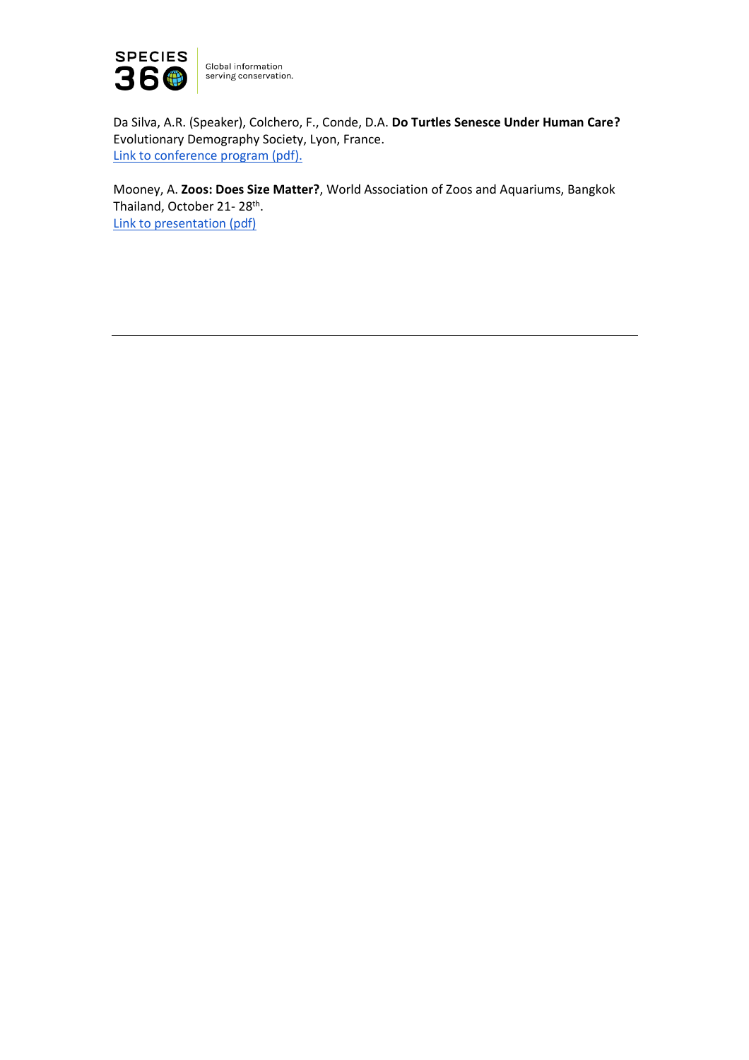

Da Silva, A.R. (Speaker), Colchero, F., Conde, D.A. **Do Turtles Senesce Under Human Care?** Evolutionary Demography Society, Lyon, France. [Link to conference program \(pdf\).](https://evodemo2018.sciencesconf.org/data/pages/Evodemo_2018_schedule_1.pdf)

Mooney, A. **Zoos: Does Size Matter?**, World Association of Zoos and Aquariums, Bangkok Thailand, October 21-28<sup>th</sup>. [Link to presentation \(pdf\)](https://biaza.org.uk/downloader/1239)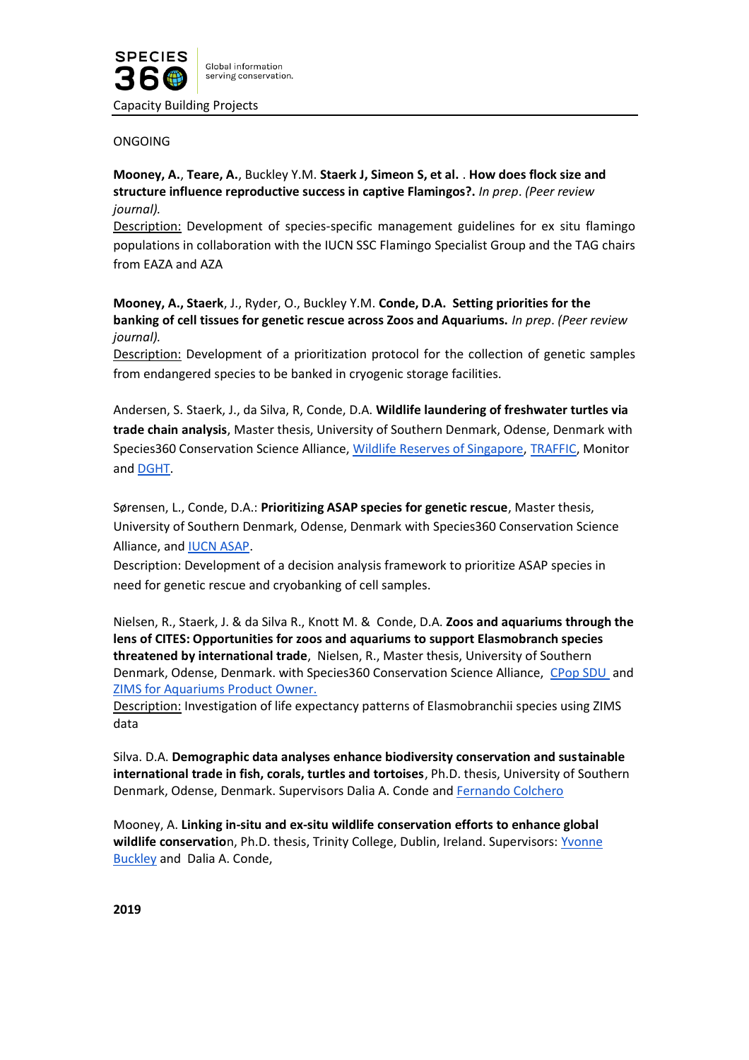

Capacity Building Projects

### ONGOING

# **Mooney, A.**, **Teare, A.**, Buckley Y.M. **Staerk J, Simeon S, et al.** . **How does flock size and structure influence reproductive success in captive Flamingos?.** *In prep*. *(Peer review journal).*

Description: Development of species-specific management guidelines for ex situ flamingo populations in collaboration with the IUCN SSC Flamingo Specialist Group and the TAG chairs from EAZA and AZA

**Mooney, A., Staerk**, J., Ryder, O., Buckley Y.M. **Conde, D.A. Setting priorities for the banking of cell tissues for genetic rescue across Zoos and Aquariums.** *In prep*. *(Peer review journal).*

Description: Development of a prioritization protocol for the collection of genetic samples from endangered species to be banked in cryogenic storage facilities.

Andersen, S. Staerk, J., da Silva, R, Conde, D.A. **Wildlife laundering of freshwater turtles via trade chain analysis**, Master thesis, University of Southern Denmark, Odense, Denmark with Species360 Conservation Science Alliance, [Wildlife Reserves of Singapore,](https://www.wrs.com.sg/) [TRAFFIC,](https://www.traffic.org/) Monitor and [DGHT.](https://www.dght.de/startseite)

Sørensen, L., Conde, D.A.: **Prioritizing ASAP species for genetic rescue**, Master thesis, University of Southern Denmark, Odense, Denmark with Species360 Conservation Science Alliance, an[d IUCN ASAP.](https://www.speciesonthebrink.org/)

Description: Development of a decision analysis framework to prioritize ASAP species in need for genetic rescue and cryobanking of cell samples.

Nielsen, R., Staerk, J. & da Silva R., Knott M. & Conde, D.A. **Zoos and aquariums through the lens of CITES: Opportunities for zoos and aquariums to support Elasmobranch species threatened by international trade**, Nielsen, R., Master thesis, University of Southern Denmark, Odense, Denmark. with Species360 Conservation Science Alliance, [CPop SDU](https://www.sdu.dk/en/om_sdu/institutter_centre/cpop) and [ZIMS for Aquariums Product Owner.](https://www.species360.org/products-services/support-for-aquariums/)

Description: Investigation of life expectancy patterns of Elasmobranchii species using ZIMS data

Silva. D.A. **Demographic data analyses enhance biodiversity conservation and sustainable international trade in fish, corals, turtles and tortoises**, Ph.D. thesis, University of Southern Denmark, Odense, Denmark. Supervisors Dalia A. Conde an[d Fernando Colchero](http://www.colchero.com/)

Mooney, A. **Linking in-situ and ex-situ wildlife conservation efforts to enhance global wildlife conservatio**n, Ph.D. thesis, Trinity College, Dublin, Ireland. Supervisors[: Yvonne](https://www.tcd.ie/research/profiles/?profile=buckleyy)  [Buckley](https://www.tcd.ie/research/profiles/?profile=buckleyy) and Dalia A. Conde,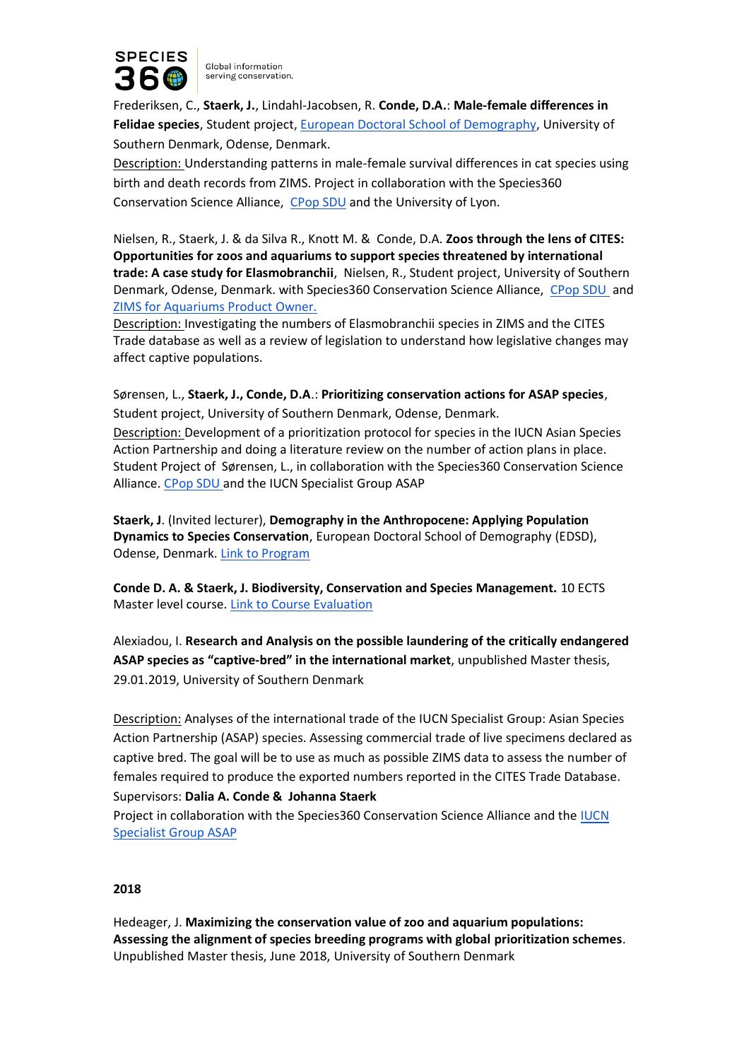

Frederiksen, C., **Staerk, J.**, Lindahl-Jacobsen, R. **Conde, D.A.**: **Male-female differences in Felidae species**, Student project[, European Doctoral School of Demography,](https://www.population-europe.eu/study-and-career/european-doctoral-school-demography-edsd-20192020) University of Southern Denmark, Odense, Denmark.

Description: Understanding patterns in male-female survival differences in cat species using birth and death records from ZIMS. Project in collaboration with the Species360 Conservation Science Alliance, [CPop SDU](https://www.sdu.dk/en/om_sdu/institutter_centre/cpop) and the University of Lyon.

Nielsen, R., Staerk, J. & da Silva R., Knott M. & Conde, D.A. **Zoos through the lens of CITES: Opportunities for zoos and aquariums to support species threatened by international trade: A case study for Elasmobranchii**, Nielsen, R., Student project, University of Southern Denmark, Odense, Denmark. with Species360 Conservation Science Alliance, [CPop SDU](https://www.sdu.dk/en/om_sdu/institutter_centre/cpop) and [ZIMS for Aquariums Product Owner.](https://www.species360.org/products-services/support-for-aquariums/)

Description: Investigating the numbers of Elasmobranchii species in ZIMS and the CITES Trade database as well as a review of legislation to understand how legislative changes may affect captive populations.

Sørensen, L., **Staerk, J., Conde, D.A**.: **Prioritizing conservation actions for ASAP species**, Student project, University of Southern Denmark, Odense, Denmark.

Description: Development of a prioritization protocol for species in the IUCN Asian Species Action Partnership and doing a literature review on the number of action plans in place. Student Project of Sørensen, L., in collaboration with the Species360 Conservation Science Alliance. [CPop SDU a](https://www.sdu.dk/en/om_sdu/institutter_centre/cpop)nd the IUCN Specialist Group ASAP

**Staerk, J**. (Invited lecturer), **Demography in the Anthropocene: Applying Population Dynamics to Species Conservation**, European Doctoral School of Demography (EDSD), Odense, Denmark. [Link to Program](https://www.eds-demography.org/)

**Conde D. A. & Staerk, J. Biodiversity, Conservation and Species Management.** 10 ECTS Master level course. [Link to Course Evaluation](https://www.dropbox.com/s/6hiw6rnwvkod4tj/Report%203.pdf?dl=0)

Alexiadou, I. **Research and Analysis on the possible laundering of the critically endangered ASAP species as "captive-bred" in the international market**, unpublished Master thesis, 29.01.2019, University of Southern Denmark

Description: Analyses of the international trade of the IUCN Specialist Group: Asian Species Action Partnership (ASAP) species. Assessing commercial trade of live specimens declared as captive bred. The goal will be to use as much as possible ZIMS data to assess the number of females required to produce the exported numbers reported in the CITES Trade Database. Supervisors: **Dalia A. Conde & Johanna Staerk**

Project in collaboration with the Species360 Conservation Science Alliance and the [IUCN](https://www.iucn.org/theme/species/our-work/asian-species-action-partnership-asap)  [Specialist Group ASAP](https://www.iucn.org/theme/species/our-work/asian-species-action-partnership-asap)

#### **2018**

Hedeager, J. **Maximizing the conservation value of zoo and aquarium populations: Assessing the alignment of species breeding programs with global prioritization schemes**. Unpublished Master thesis, June 2018, University of Southern Denmark